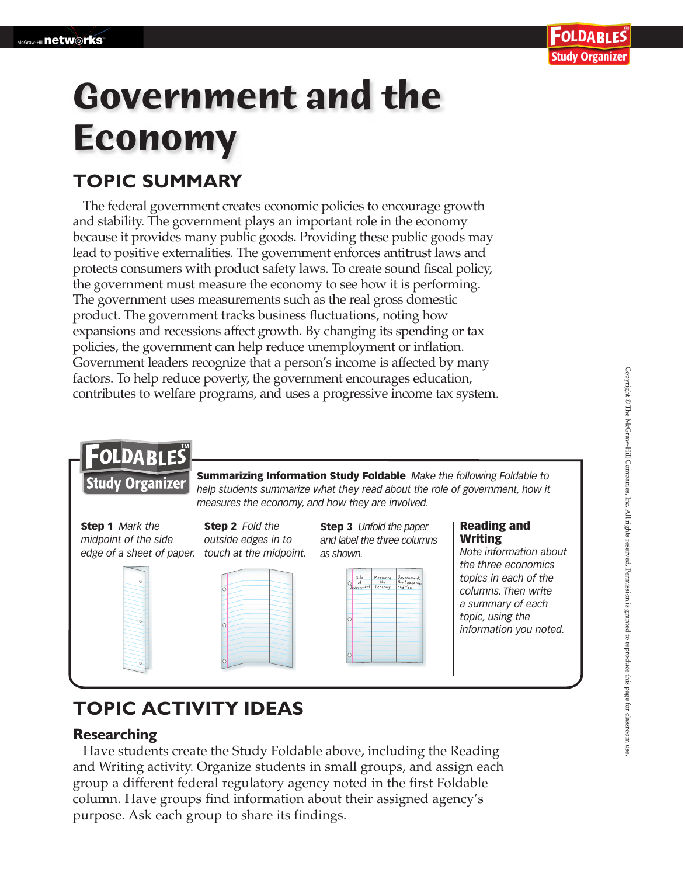# **Government and the Economy**

## **TOPIC SUMMARY**

The federal government creates economic policies to encourage growth and stability. The government plays an important role in the economy because it provides many public goods. Providing these public goods may lead to positive externalities. The government enforces antitrust laws and protects consumers with product safety laws. To create sound fiscal policy, the government must measure the economy to see how it is performing. The government uses measurements such as the real gross domestic product. The government tracks business fluctuations, noting how expansions and recessions affect growth. By changing its spending or tax policies, the government can help reduce unemployment or inflation. Government leaders recognize that a person's income is affected by many factors. To help reduce poverty, the government encourages education, contributes to welfare programs, and uses a progressive income tax system.

## FOLDABLES

**Study Organizer** 

Summarizing Information Study Foldable *Make the following Foldable to help students summarize what they read about the role of government, how it measures the economy, and how they are involved.*

Step 1 *Mark the midpoint of the side edge of a sheet of paper. touch at the midpoint.*







Step 3 *Unfold the paper and label the three columns as shown.*



#### Reading and Writing

*Note information about the three economics topics in each of the columns. Then write a summary of each topic, using the information you noted.*

## **TOPIC ACTIVITY IDEAS**

### **Researching**

 Have students create the Study Foldable above, including the Reading and Writing activity. Organize students in small groups, and assign each group a different federal regulatory agency noted in the first Foldable column. Have groups find information about their assigned agency's purpose. Ask each group to share its findings.